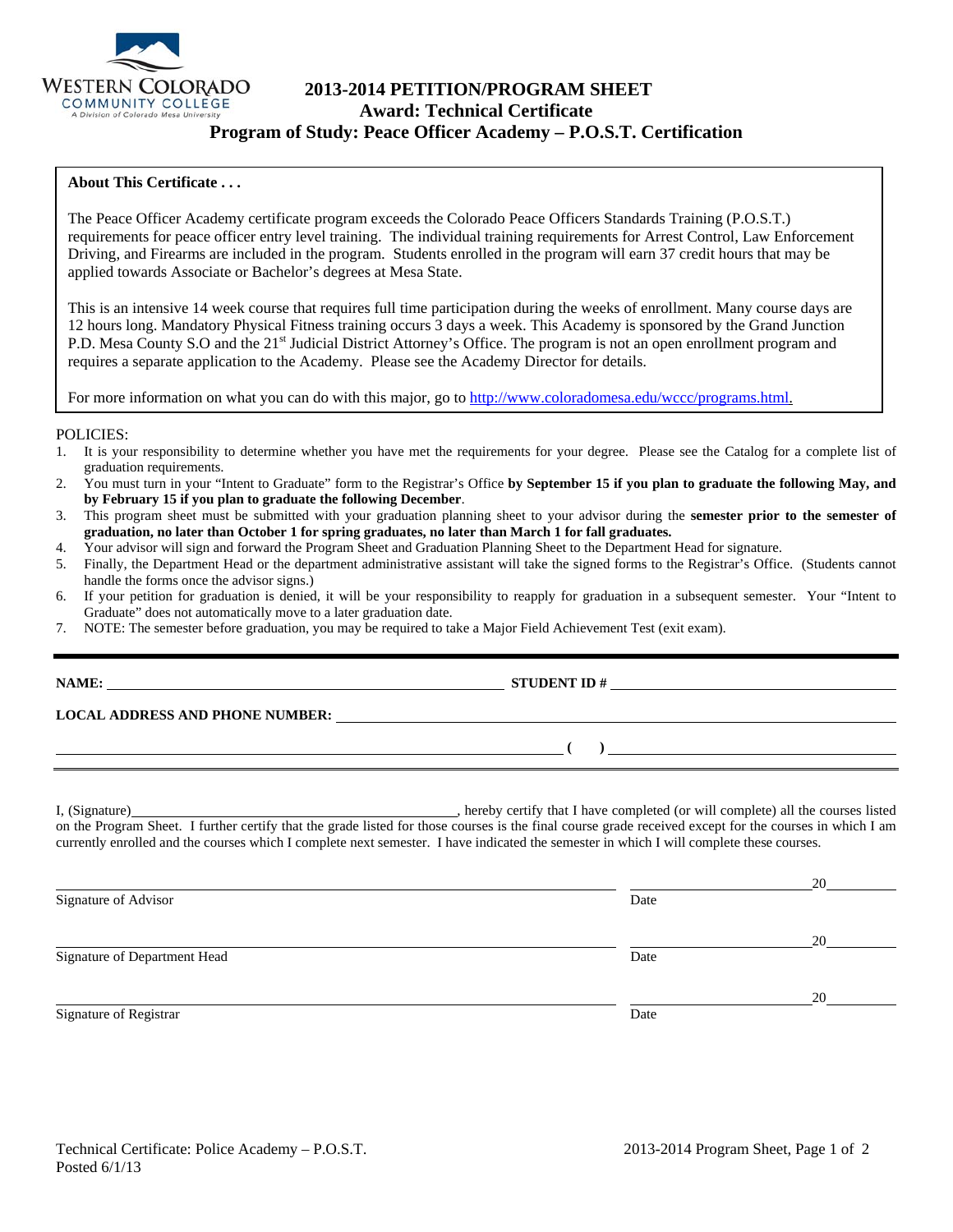

# **2013-2014 PETITION/PROGRAM SHEET Award: Technical Certificate Program of Study: Peace Officer Academy – P.O.S.T. Certification**

### **About This Certificate . . .**

The Peace Officer Academy certificate program exceeds the Colorado Peace Officers Standards Training (P.O.S.T.) requirements for peace officer entry level training. The individual training requirements for Arrest Control, Law Enforcement Driving, and Firearms are included in the program. Students enrolled in the program will earn 37 credit hours that may be applied towards Associate or Bachelor's degrees at Mesa State.

This is an intensive 14 week course that requires full time participation during the weeks of enrollment. Many course days are 12 hours long. Mandatory Physical Fitness training occurs 3 days a week. This Academy is sponsored by the Grand Junction P.D. Mesa County S.O and the 21<sup>st</sup> Judicial District Attorney's Office. The program is not an open enrollment program and requires a separate application to the Academy. Please see the Academy Director for details.

For more information on what you can do with this major, go to http://www.coloradomesa.edu/wccc/programs.html.

#### POLICIES:

- 1. It is your responsibility to determine whether you have met the requirements for your degree. Please see the Catalog for a complete list of graduation requirements.
- 2. You must turn in your "Intent to Graduate" form to the Registrar's Office **by September 15 if you plan to graduate the following May, and by February 15 if you plan to graduate the following December**.
- 3. This program sheet must be submitted with your graduation planning sheet to your advisor during the **semester prior to the semester of graduation, no later than October 1 for spring graduates, no later than March 1 for fall graduates.**
- 4. Your advisor will sign and forward the Program Sheet and Graduation Planning Sheet to the Department Head for signature.<br>5. Finally, the Department Head or the department administrative assistant will take the signed fo
- 5. Finally, the Department Head or the department administrative assistant will take the signed forms to the Registrar's Office. (Students cannot handle the forms once the advisor signs.)
- 6. If your petition for graduation is denied, it will be your responsibility to reapply for graduation in a subsequent semester. Your "Intent to Graduate" does not automatically move to a later graduation date.
- 7. NOTE: The semester before graduation, you may be required to take a Major Field Achievement Test (exit exam).

| <b>LOCAL ADDRESS AND PHONE NUMBER:</b> |  |
|----------------------------------------|--|
|                                        |  |

I, (Signature) **Source 2008** (Signature) **, hereby certify that I have completed** (or will complete) all the courses listed on the Program Sheet. I further certify that the grade listed for those courses is the final course grade received except for the courses in which I am currently enrolled and the courses which I complete next semester. I have indicated the semester in which I will complete these courses.

|                              |      | 20 |
|------------------------------|------|----|
| Signature of Advisor         | Date |    |
|                              |      | 20 |
| Signature of Department Head | Date |    |
|                              |      | 20 |
| Signature of Registrar       | Date |    |

**NAME: STUDENT ID # STUDENT ID # STUDENT ID # STUDENT ID # STUDENT ID # STUDENT ID # STUDENT ID # STUDENT ID # STUDENT ID # STUDENT 1D + STUDENT 1D + STUDENT 1D + STUDENT 1D + STUDENT 1D + STU** 

 **( )**